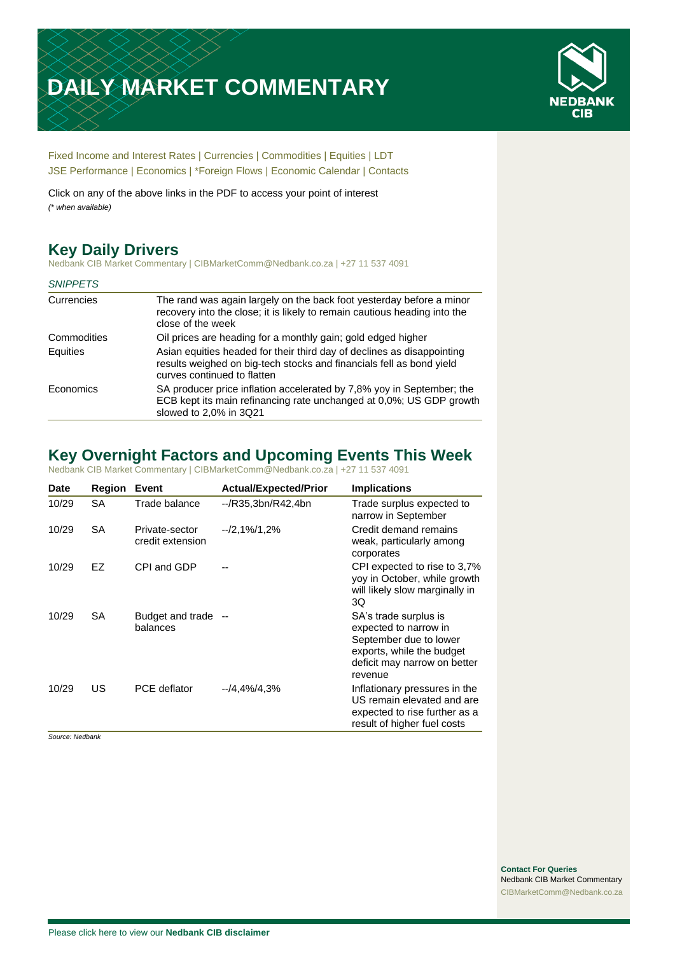# **DAILY MARKET COMMENTARY**



[Fixed Income and Interest Rates](#page-1-0) | [Currencies](#page-2-0) | [Commodities](#page-3-0) [| Equities](#page-4-0) | [LDT](#page-5-0) [JSE Performance](#page-6-0) | [Economics](#page-7-0) | [\\*Foreign Flows](#page-8-0) | [Economic Calendar](#page-8-0) | [Contacts](#page-9-0)

Click on any of the above links in the PDF to access your point of interest *(\* when available)*

# **Key Daily Drivers**

Nedbank CIB Market Commentary | CIBMarketComm@Nedbank.co.za | +27 11 537 4091

| <b>SNIPPETS</b> |                                                                                                                                                                               |
|-----------------|-------------------------------------------------------------------------------------------------------------------------------------------------------------------------------|
| Currencies      | The rand was again largely on the back foot yesterday before a minor<br>recovery into the close; it is likely to remain cautious heading into the<br>close of the week        |
| Commodities     | Oil prices are heading for a monthly gain; gold edged higher                                                                                                                  |
| Equities        | Asian equities headed for their third day of declines as disappointing<br>results weighed on big-tech stocks and financials fell as bond yield<br>curves continued to flatten |
| Economics       | SA producer price inflation accelerated by 7,8% yoy in September; the<br>ECB kept its main refinancing rate unchanged at 0,0%; US GDP growth<br>slowed to 2,0% in 3Q21        |

# **Key Overnight Factors and Upcoming Events This Week**

Nedbank CIB Market Commentary | CIBMarketComm@Nedbank.co.za | +27 11 537 4091

| <b>Date</b> | Region    | Event                              | <b>Actual/Expected/Prior</b> | <b>Implications</b>                                                                                                                              |
|-------------|-----------|------------------------------------|------------------------------|--------------------------------------------------------------------------------------------------------------------------------------------------|
| 10/29       | <b>SA</b> | Trade balance                      | --/R35,3bn/R42,4bn           | Trade surplus expected to<br>narrow in September                                                                                                 |
| 10/29       | SA        | Private-sector<br>credit extension | $-2,1\%/1,2\%$               | Credit demand remains<br>weak, particularly among<br>corporates                                                                                  |
| 10/29       | EZ        | CPI and GDP                        |                              | CPI expected to rise to 3,7%<br>yoy in October, while growth<br>will likely slow marginally in<br>3Q                                             |
| 10/29       | <b>SA</b> | Budget and trade --<br>balances    |                              | SA's trade surplus is<br>expected to narrow in<br>September due to lower<br>exports, while the budget<br>deficit may narrow on better<br>revenue |
| 10/29       | US        | PCE deflator                       | $-14.4\%/4.3\%$              | Inflationary pressures in the<br>US remain elevated and are<br>expected to rise further as a<br>result of higher fuel costs                      |

*Source: Nedbank*

**Contact For Queries** Nedbank CIB Market Commentary [CIBMarketComm@Nedbank.co.za](file:///C:/Users/Paul-Rose/AppData/Roaming/Bluecurve/templates/CIBMarketComm@Nedbank.co.za)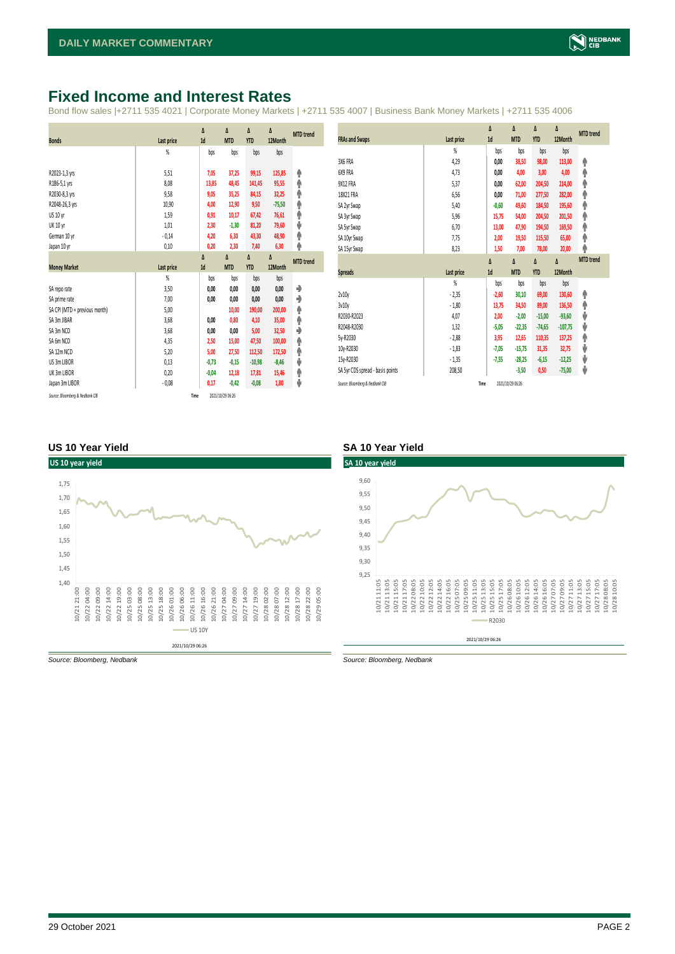# <span id="page-1-0"></span>**Fixed Income and Interest Rates**

Bond flow sales |+2711 535 4021 | Corporate Money Markets | +2711 535 4007 | Business Bank Money Markets | +2711 535 4006

|                               |            | Δ       | Δ          | Δ          | Δ        | <b>MTD</b> trend |
|-------------------------------|------------|---------|------------|------------|----------|------------------|
| <b>Bonds</b>                  | Last price | 1d      | <b>MTD</b> | <b>YTD</b> | 12Month  |                  |
|                               | %          | bps     | bps        | bps        | bps      |                  |
|                               |            |         |            |            |          |                  |
| R2023-1,3 yrs                 | 5,51       | 7,05    | 37,25      | 99,15      | 125,85   | ۸                |
| R186-5,1 yrs                  | 8,08       | 13,85   | 48,45      | 141,45     | 95,55    | ۸                |
| R2030-8,3 yrs                 | 9,58       | 9,05    | 35,25      | 84,15      | 32,25    | ۸                |
| R2048-26,3 yrs                | 10,90      | 4,00    | 12,90      | 9,50       | $-75,50$ | φ                |
| US 10 yr                      | 1,59       | 0,91    | 10,17      | 67,42      | 76,61    | φ                |
| <b>UK 10 yr</b>               | 1,01       | 2,30    | $-1,30$    | 81,20      | 79,60    | ψ                |
| German 10 yr                  | $-0,14$    | 4,20    | 6,30       | 43,30      | 48,90    | ۸                |
| Japan 10 yr                   | 0,10       | 0,20    | 2,30       | 7,40       | 6,30     | φ                |
|                               |            | Δ       | Δ          | Δ          | Δ        | <b>MTD</b> trend |
| <b>Money Market</b>           | Last price | 1d      | <b>MTD</b> | <b>YTD</b> | 12Month  |                  |
|                               | %          | bps     | bps        | bps        | bps      |                  |
| SA reporate                   | 3,50       | 0,00    | 0,00       | 0,00       | 0,00     | ۰                |
| SA prime rate                 | 7,00       | 0,00    | 0,00       | 0,00       | 0,00     | ٠                |
| SA CPI (MTD = previous month) | 5,00       |         | 10,00      | 190,00     | 200,00   | ۸                |
| SA 3m JIBAR                   | 3,68       | 0,00    | 0,80       | 4,10       | 35,00    | ۸                |
| SA 3m NCD                     | 3,68       | 0,00    | 0,00       | 5,00       | 32,50    | ٠                |
| SA 6m NCD                     | 4,35       | 2,50    | 15,00      | 47,50      | 100,00   | ۸                |
| SA 12m NCD                    | 5,20       | 5,00    | 27,50      | 112,50     | 172,50   | ۸                |
| US 3m LIBOR                   | 0,13       | $-0,73$ | $-0.15$    | $-10,98$   | $-8,46$  | ψ                |
| UK 3m LIBOR                   | 0,20       | $-0,04$ | 12,18      | 17,81      | 15,46    | ۸                |
| Japan 3m LIBOR                | $-0.08$    | 0,17    | $-0,42$    | $-0,08$    | 1,80     | ψ                |
|                               |            |         |            |            |          |                  |

|                                  |                | Δ       | Δ          | Δ          | Δ         | <b>MTD</b> trend |
|----------------------------------|----------------|---------|------------|------------|-----------|------------------|
| <b>FRAs and Swaps</b>            | Last price     | 1d      | <b>MTD</b> | <b>YTD</b> | 12Month   |                  |
|                                  | $\frac{9}{20}$ | bps     | bps        | bps        | bps       |                  |
| 3X6 FRA                          | 4,29           | 0,00    | 38,50      | 98,00      | 113,00    | ۸                |
| 6X9 FRA                          | 4,73           | 0,00    | 4,00       | 3,00       | 4,00      | Φ                |
| 9X12 FRA                         | 5,37           | 0,00    | 62,00      | 204,50     | 214,00    | φ                |
| 18X21 FRA                        | 6,56           | 0,00    | 71,00      | 277,50     | 282,00    | φ                |
| SA 2yr Swap                      | 5,40           | $-0,60$ | 49,60      | 184,50     | 195,60    | φ                |
| SA 3yr Swap                      | 5,96           | 15,75   | 54,00      | 204,50     | 201,50    | φ                |
| SA 5yr Swap                      | 6,70           | 13,00   | 47,90      | 194,50     | 169,50    | φ                |
| SA 10yr Swap                     | 7,75           | 2,00    | 19,50      | 115,50     | 65,00     | φ                |
| SA 15yr Swap                     | 8,23           | 1,50    | 7,00       | 78,00      | 20,00     | φ                |
|                                  |                | Δ       | Δ          | Δ          | Δ         | <b>MTD</b> trend |
|                                  |                |         |            |            |           |                  |
| <b>Spreads</b>                   | Last price     | 1d      | <b>MTD</b> | <b>YTD</b> | 12Month   |                  |
|                                  | $\frac{9}{20}$ | bps     | bps        | bps        | bps       |                  |
| 2v10v                            | $-2,35$        | $-2,60$ | 30,10      | 69,00      | 130,60    | ۸                |
| 3v10y                            | $-1,80$        | 13,75   | 34,50      | 89,00      | 136,50    | ۸                |
| R2030-R2023                      | 4,07           | 2,00    | $-2,00$    | $-15,00$   | $-93,60$  | V                |
| R2048-R2030                      | 1,32           | $-5,05$ | $-22,35$   | $-74,65$   | $-107,75$ | J                |
| 5y-R2030                         | $-2,88$        | 3,95    | 12,65      | 110,35     | 137,25    | φ                |
| 10y-R2030                        | $-1,83$        | $-7,05$ | $-15,75$   | 31,35      | 32,75     | J                |
| 15v-R2030                        | $-1,35$        | $-7,55$ | $-28,25$   | $-6,15$    | $-12,25$  | V                |
| SA 5yr CDS spread - basis points | 208,50         |         | $-3,50$    | 0,50       | $-75,00$  | ⊎                |

#### **US 10 Year Yield SA 10 Year Yield**





*Source: Bloomberg, Nedbank Source: Bloomberg, Nedbank*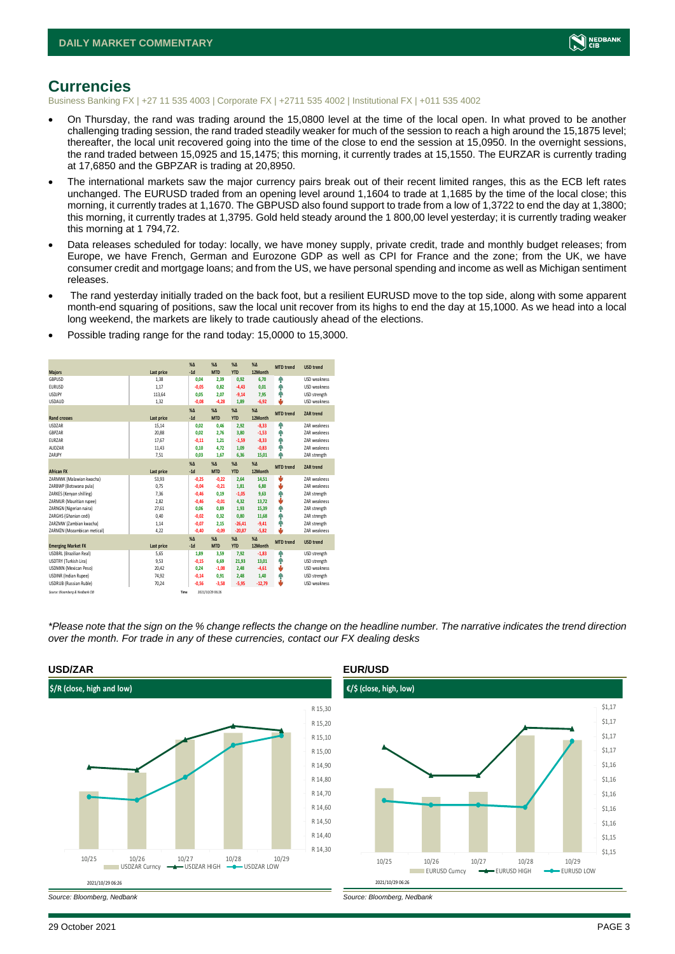

## <span id="page-2-0"></span>**Currencies**

Business Banking FX | +27 11 535 4003 | Corporate FX | +2711 535 4002 | Institutional FX | +011 535 4002

- On Thursday, the rand was trading around the 15,0800 level at the time of the local open. In what proved to be another challenging trading session, the rand traded steadily weaker for much of the session to reach a high around the 15,1875 level; thereafter, the local unit recovered going into the time of the close to end the session at 15,0950. In the overnight sessions, the rand traded between 15,0925 and 15,1475; this morning, it currently trades at 15,1550. The EURZAR is currently trading at 17,6850 and the GBPZAR is trading at 20,8950.
- The international markets saw the major currency pairs break out of their recent limited ranges, this as the ECB left rates unchanged. The EURUSD traded from an opening level around 1,1604 to trade at 1,1685 by the time of the local close; this morning, it currently trades at 1,1670. The GBPUSD also found support to trade from a low of 1,3722 to end the day at 1,3800; this morning, it currently trades at 1,3795. Gold held steady around the 1 800,00 level yesterday; it is currently trading weaker this morning at 1 794,72.
- Data releases scheduled for today: locally, we have money supply, private credit, trade and monthly budget releases; from Europe, we have French, German and Eurozone GDP as well as CPI for France and the zone; from the UK, we have consumer credit and mortgage loans; and from the US, we have personal spending and income as well as Michigan sentiment releases.
- The rand vesterday initially traded on the back foot, but a resilient EURUSD move to the top side, along with some apparent month-end squaring of positions, saw the local unit recover from its highs to end the day at 15,1000. As we head into a local long weekend, the markets are likely to trade cautiously ahead of the elections.
- Possible trading range for the rand today: 15,0000 to 15,3000.

|                                 |            | X <sub>A</sub> | X <sub>A</sub>   | $%$ $\Lambda$ | $% \Lambda$ | <b>MTD</b> trend | <b>USD trend</b>    |
|---------------------------------|------------|----------------|------------------|---------------|-------------|------------------|---------------------|
| <b>Majors</b>                   | Last price | $-1d$          | <b>MTD</b>       | <b>YTD</b>    | 12Month     |                  |                     |
| <b>GBPUSD</b>                   | 1,38       | 0,04           | 2,39             | 0,92          | 6,70        | ٠                | USD weakness        |
| <b>EURUSD</b>                   | 1.17       | $-0.05$        | 0.82             | $-4.43$       | 0.01        | ۸                | <b>USD</b> weakness |
| <b>USDJPY</b>                   | 113,64     | 0.05           | 2.07             | $-9,14$       | 7.95        | ٠                | USD strength        |
| <b>USDAUD</b>                   | 1,32       | $-0,08$        | $-4,28$          | 1,89          | $-6,92$     | ۵                | USD weakness        |
|                                 |            | $X\Delta$      | $X\Delta$        | $% \Delta$    | $% \Delta$  | <b>MTD</b> trend | <b>ZAR trend</b>    |
| <b>Rand crosses</b>             | Last price | $-1d$          | <b>MTD</b>       | <b>YTD</b>    | 12Month     |                  |                     |
| <b>USDZAR</b>                   | 15,14      | 0.02           | 0.46             | 2,92          | $-8,33$     | ٠                | <b>7AR</b> weakness |
| GBPZAR                          | 20,88      | 0.02           | 2.76             | 3,80          | $-1,53$     | ٠                | <b>7AR</b> weakness |
| <b>EURZAR</b>                   | 17,67      | $-0,11$        | 1,21             | $-1,59$       | $-8,33$     | ٠                | ZAR weakness        |
| AUDZAR                          | 11.43      | 0.10           | 4.72             | 1.09          | $-0.83$     | ٠                | ZAR weakness        |
| ZARJPY                          | 7,51       | 0,03           | 1,67             | 6,36          | 15,01       | ۸                | ZAR strength        |
|                                 |            | $X\Delta$      | $X\Delta$        | $% \Delta$    | $% \Delta$  | <b>MTD</b> trend | <b>ZAR trend</b>    |
| <b>African FX</b>               | Last price | $-1d$          | <b>MTD</b>       | <b>YTD</b>    | 12Month     |                  |                     |
| ZARMWK (Malawian kwacha)        | 53,93      | $-0.25$        | $-0,22$          | 2,64          | 14,51       | v                | <b>7AR</b> weakness |
| ZARBWP (Botswana pula)          | 0,75       | $-0,04$        | $-0,21$          | 1,81          | 6,80        | v                | <b>7AR</b> weakness |
| ZARKES (Kenyan shilling)        | 7,36       | $-0,46$        | 0,19             | $-1,05$       | 9,63        | ٠                | ZAR strength        |
| ZARMUR (Mauritian rupee)        | 2.82       | $-0.46$        | $-0.01$          | 4,32          | 13,72       | U                | ZAR weakness        |
| ZARNGN (Nigerian naira)         | 27,61      | 0.06           | 0.89             | 1,93          | 15,39       | ٠                | ZAR strength        |
| ZARGHS (Ghanian cedi)           | 0.40       | $-0.02$        | 0.32             | 0.80          | 11,68       | ٠                | ZAR strength        |
| ZARZMW (Zambian kwacha)         | 1,14       | $-0,07$        | 2,15             | $-26,41$      | $-9,41$     | ٠                | ZAR strength        |
| ZARMZN (Mozambican metical)     | 4,22       | $-0,40$        | $-0,09$          | $-20,87$      | $-5,82$     | ш                | ZAR weakness        |
|                                 |            | $X\Delta$      | X <sub>A</sub>   | $% \Delta$    | $% \Delta$  | <b>MTD</b> trend | <b>USD trend</b>    |
| <b>Emerging Market FX</b>       | Last price | $-1d$          | <b>MTD</b>       | <b>YTD</b>    | 12Month     |                  |                     |
| <b>USDBRL (Brazilian Real)</b>  | 5,65       | 1.89           | 3.59             | 7,92          | $-1,83$     | ٠                | USD strength        |
| USDTRY (Turkish Lira)           | 9,53       | $-0,15$        | 6,69             | 21,93         | 13,01       | ٠                | USD strength        |
| USDMXN (Mexican Peso)           | 20,42      | 0.24           | $-1,08$          | 2,48          | $-4,61$     | v                | USD weakness        |
| <b>USDINR</b> (Indian Rupee)    | 74,92      | $-0,14$        | 0,91             | 2,48          | 1,40        | ٠                | USD strength        |
| <b>USDRUB (Russian Ruble)</b>   | 70.24      | $-0.56$        | $-3.58$          | $-5,95$       | $-12,79$    | ш                | <b>USD</b> weakness |
| Source: Bloomberg & Nedbank CIB | Time       |                | 2021/10/29 06:26 |               |             |                  |                     |

*\*Please note that the sign on the % change reflects the change on the headline number. The narrative indicates the trend direction over the month. For trade in any of these currencies, contact our FX dealing desks*



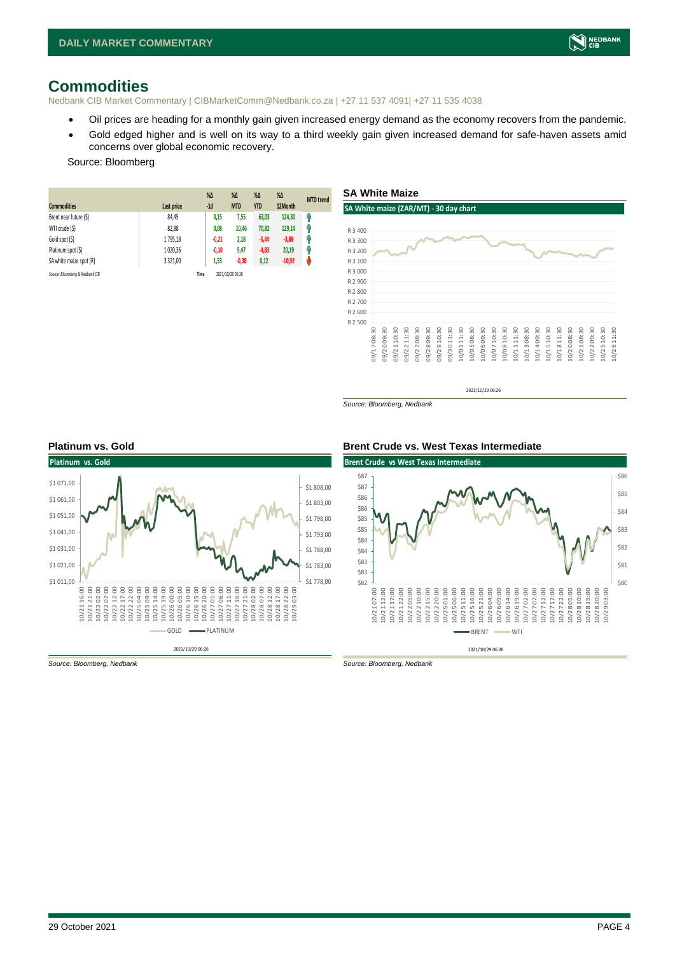# <span id="page-3-0"></span>**Commodities**

Nedbank CIB Market Commentary | CIBMarketComm@Nedbank.co.za | +27 11 537 4091| +27 11 535 4038

- Oil prices are heading for a monthly gain given increased energy demand as the economy recovers from the pandemic.
- Gold edged higher and is well on its way to a third weekly gain given increased demand for safe-haven assets amid concerns over global economic recovery.

**SA White Maize**

**SA White maize (ZAR/MT) - 30 day chart**

#### Source: Bloomberg

| <b>Commodities</b>              | Last price | $%$ $\Delta$<br>$-1d$ | $\%$ $\Delta$<br><b>MTD</b> | $%$ $\Delta$<br><b>YTD</b> | $\%$ $\Delta$<br>12Month | <b>MTD</b> trend |
|---------------------------------|------------|-----------------------|-----------------------------|----------------------------|--------------------------|------------------|
| Brent near future (\$)          | 84,45      | 0,15                  | 7,55                        | 63,03                      | 124,30                   | φ                |
| WTI crude (\$)                  | 82,88      | 0,08                  | 10.46                       | 70,82                      | 129,14                   | Ω                |
| Gold spot (\$)                  | 1795.18    | $-0,21$               | 2,18                        | $-5,44$                    | $-3,88$                  | П                |
| Platinum spot (\$)              | 1020.36    | $-0,10$               | 5,47                        | $-4,83$                    | 20,19                    | 4                |
| SA white maize spot (R)         | 3 3 2 1.00 | 1,53                  | $-0,30$                     | 0,12                       | $-10,92$                 | Ŵ                |
| Source: Bloomberg & Nedbank CIB |            | Time                  | 2021/10/29 06:26            |                            |                          |                  |

#### R 2 500 R 2 600 R 2 700 R 2 800 R 2 900 R 3 000 09/17 08:30 09/20 09:30 09/21 10:30 09/22 11:30 09/27 08:30 09/28 09:30 09/29 10:30 09/30 11:30 10/01 11:30 10/05 08:30 10/06 09:30 10/07 10:30 10/08 10:30 10/11 11:30 10/13 08:30 10/14 09:30 10/15 10:30 10/18 11:30 10/20 08:30 10/21 08:30

2021/10/29 06:26

*Source: Bloomberg, Nedbank*



#### **Platinum vs. Gold Brent Crude vs. West Texas Intermediate**





10/22 09:30 10/25 10:30 10/26 11:30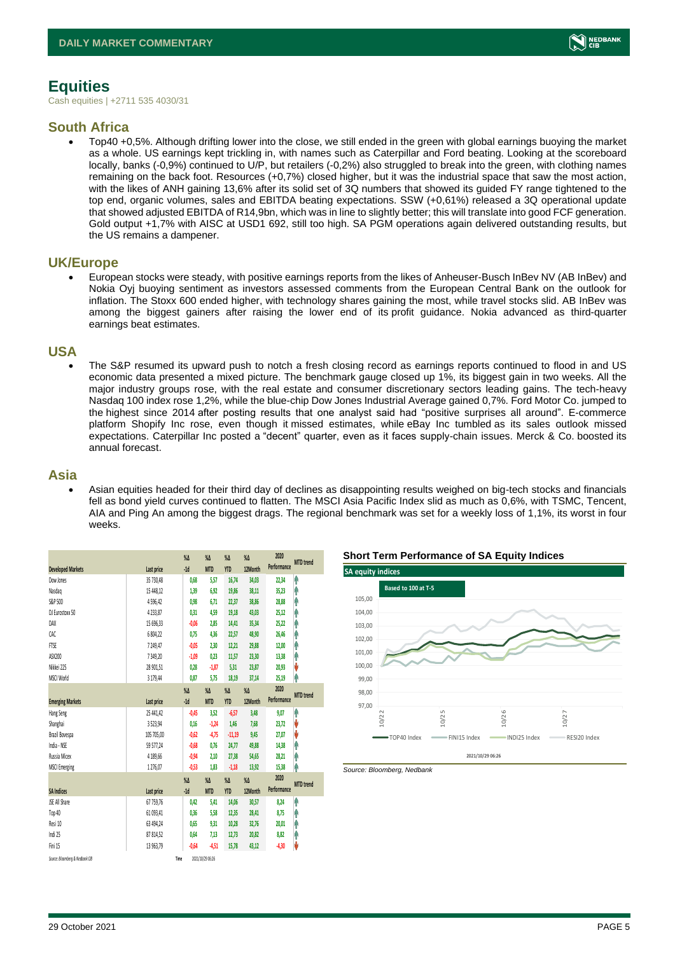# <span id="page-4-0"></span>**Equities**

Cash equities | +2711 535 4030/31

### **South Africa**

• Top40 +0,5%. Although drifting lower into the close, we still ended in the green with global earnings buoying the market as a whole. US earnings kept trickling in, with names such as Caterpillar and Ford beating. Looking at the scoreboard locally, banks (-0,9%) continued to U/P, but retailers (-0,2%) also struggled to break into the green, with clothing names remaining on the back foot. Resources (+0,7%) closed higher, but it was the industrial space that saw the most action, with the likes of ANH gaining 13,6% after its solid set of 3Q numbers that showed its guided FY range tightened to the top end, organic volumes, sales and EBITDA beating expectations. SSW (+0,61%) released a 3Q operational update that showed adjusted EBITDA of R14,9bn, which was in line to slightly better; this will translate into good FCF generation. Gold output +1,7% with AISC at USD1 692, still too high. SA PGM operations again delivered outstanding results, but the US remains a dampener.

### **UK/Europe**

• European stocks were steady, with positive earnings reports from the likes of Anheuser-Busch InBev NV (AB InBev) and Nokia Oyj buoying sentiment as investors assessed comments from the European Central Bank on the outlook for inflation. The Stoxx 600 ended higher, with technology shares gaining the most, while travel stocks slid. AB InBev was among the biggest gainers after raising the lower end of its profit guidance. Nokia advanced as third-quarter earnings beat estimates.

### **USA**

• The S&P resumed its upward push to notch a fresh closing record as earnings reports continued to flood in and US economic data presented a mixed picture. The benchmark gauge closed up 1%, its biggest gain in two weeks. All the major industry groups rose, with the real estate and consumer discretionary sectors leading gains. The tech-heavy Nasdaq 100 index rose 1,2%, while the blue-chip Dow Jones Industrial Average gained 0,7%. Ford Motor Co. jumped to the highest since 2014 after posting results that one analyst said had "positive surprises all around". E-commerce platform Shopify Inc rose, even though it missed estimates, while eBay Inc tumbled as its sales outlook missed expectations. Caterpillar Inc posted a "decent" quarter, even as it faces supply-chain issues. Merck & Co. boosted its annual forecast.

### **Asia**

• Asian equities headed for their third day of declines as disappointing results weighed on big-tech stocks and financials fell as bond yield curves continued to flatten. The MSCI Asia Pacific Index slid as much as 0,6%, with TSMC, Tencent, AIA and Ping An among the biggest drags. The regional benchmark was set for a weekly loss of 1,1%, its worst in four weeks.

|                                 |            | $\%$ $\Delta$ | $\%$ $\Delta$    | $\%$ $\Delta$ | $\%$ $\Delta$ | 2020        | <b>MTD</b> trend |
|---------------------------------|------------|---------------|------------------|---------------|---------------|-------------|------------------|
| <b>Developed Markets</b>        | Last price | $-1d$         | <b>MTD</b>       | <b>YTD</b>    | 12Month       | Performance |                  |
| Dow Jones                       | 35 730,48  | 0,68          | 5,57             | 16,74         | 34,03         | 22,34       | ⋔                |
| Nasdaq                          | 15 448,12  | 1,39          | 6,92             | 19,86         | 38,11         | 35,23       | A                |
| S&P 500                         | 4596,42    | 0,98          | 6,71             | 22,37         | 38,86         | 28,88       | ⋔                |
| DJ Eurostoxx 50                 | 4233,87    | 0,31          | 4,59             | 19,18         | 43,03         | 25,12       | ٨                |
| DAX                             | 15 696,33  | $-0,06$       | 2,85             | 14,41         | 35,34         | 25,22       | Ą                |
| CAC                             | 6 804,22   | 0,75          | 4,36             | 22,57         | 48,90         | 26,46       | Α                |
| <b>FTSE</b>                     | 7249.47    | $-0.05$       | 2,30             | 12,21         | 29,88         | 12,00       | ٨                |
| ASX200                          | 7349,20    | $-1,09$       | 0,23             | 11,57         | 23,30         | 13,38       | ٨                |
| Nikkei 225                      | 28 901,51  | 0,28          | $-1,87$          | 5,31          | 23,87         | 20,93       | V                |
| MSCI World                      | 3 179,44   | 0.87          | 5,75             | 18,19         | 37,14         | 25,19       | ٨                |
|                                 |            | $\%$          | $\%$ $\Delta$    | $% \Delta$    | $\%$          | 2020        |                  |
| <b>Emerging Markets</b>         | Last price | $-1d$         | <b>MTD</b>       | <b>YTD</b>    | 12Month       | Performance | <b>MTD</b> trend |
| Hang Seng                       | 25 441,42  | $-0.45$       | 3,52             | $-6,57$       | 3,48          | 9,07        | ٨                |
| Shanghai                        | 3523,94    | 0,16          | $-1,24$          | 1,46          | 7,68          | 23,72       | V                |
| Brazil Bovespa                  | 105 705,00 | $-0,62$       | $-4,75$          | $-11,19$      | 9,45          | 27,07       | V                |
| India - NSE                     | 59 577.24  | $-0,68$       | 0.76             | 24,77         | 49.88         | 14,38       | ⋒                |
| Russia Micex                    | 4 189,66   | $-0,94$       | 2.10             | 27,38         | 54,65         | 28,21       | Λ                |
| <b>MSCI Emerging</b>            | 1276,07    | $-0,53$       | 1,83             | $-1,18$       | 13,92         | 15,38       | ⋔                |
|                                 |            | $\%$          | $\%$ $\Delta$    | $\%$ $\Delta$ | $\%$ $\Delta$ | 2020        | <b>MTD</b> trend |
| <b>SA Indices</b>               | Last price | $-1d$         | <b>MTD</b>       | <b>YTD</b>    | 12Month       | Performance |                  |
| <b>JSE All Share</b>            | 67 759,76  | 0.42          | 5,41             | 14,06         | 30,57         | 8,24        | Λ                |
| Top 40                          | 61 093,41  | 0,36          | 5,58             | 12,35         | 28,41         | 8,75        | A                |
| Resi 10                         | 63 494,24  | 0,65          | 9,31             | 10,28         | 32,76         | 20,01       | ⋒                |
| Indi 25                         | 87 814.52  | 0.64          | 7.13             | 12, 73        | 20,82         | 8,82        | Ą                |
| Fini 15                         | 13 963,79  | $-0,64$       | $-4,51$          | 15,78         | 43,12         | $-4,30$     | V                |
| Source: Bloomberg & Nedbonk CIB |            | Time          | 2021/10/29 06:26 |               |               |             |                  |

#### **Short Term Performance of SA Equity Indices**



*Source: Bloomberg, Nedbank*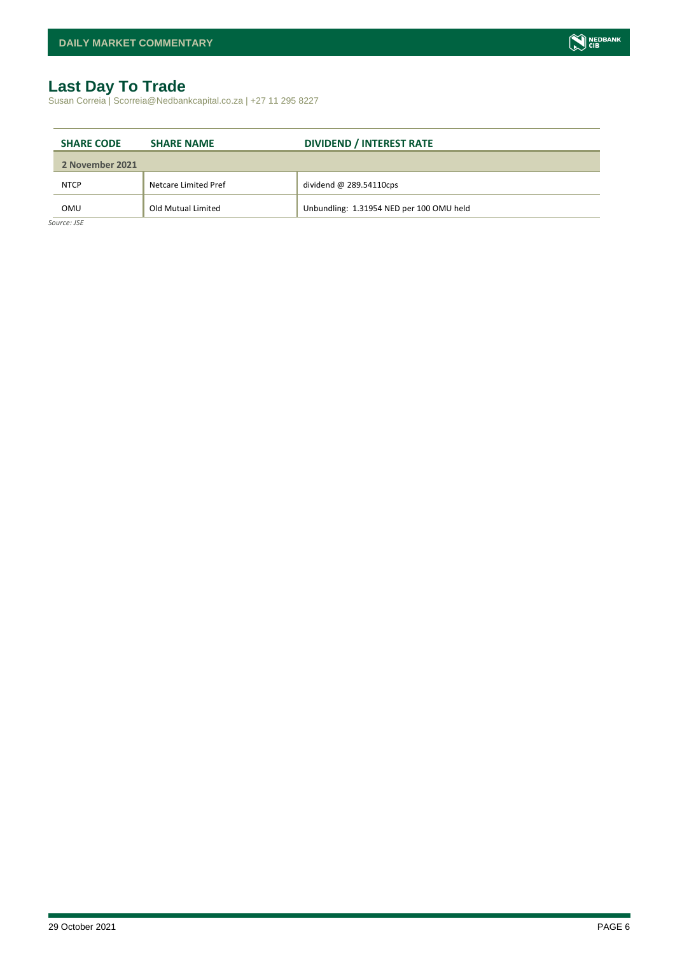# <span id="page-5-0"></span>**Last Day To Trade**

Susan Correia | Scorreia@Nedbankcapital.co.za | +27 11 295 8227

| <b>SHARE CODE</b> | <b>SHARE NAME</b>    | <b>DIVIDEND / INTEREST RATE</b>          |
|-------------------|----------------------|------------------------------------------|
| 2 November 2021   |                      |                                          |
| <b>NTCP</b>       | Netcare Limited Pref | dividend $@$ 289.54110cps                |
| OMU               | Old Mutual Limited   | Unbundling: 1.31954 NED per 100 OMU held |

*Source: JSE*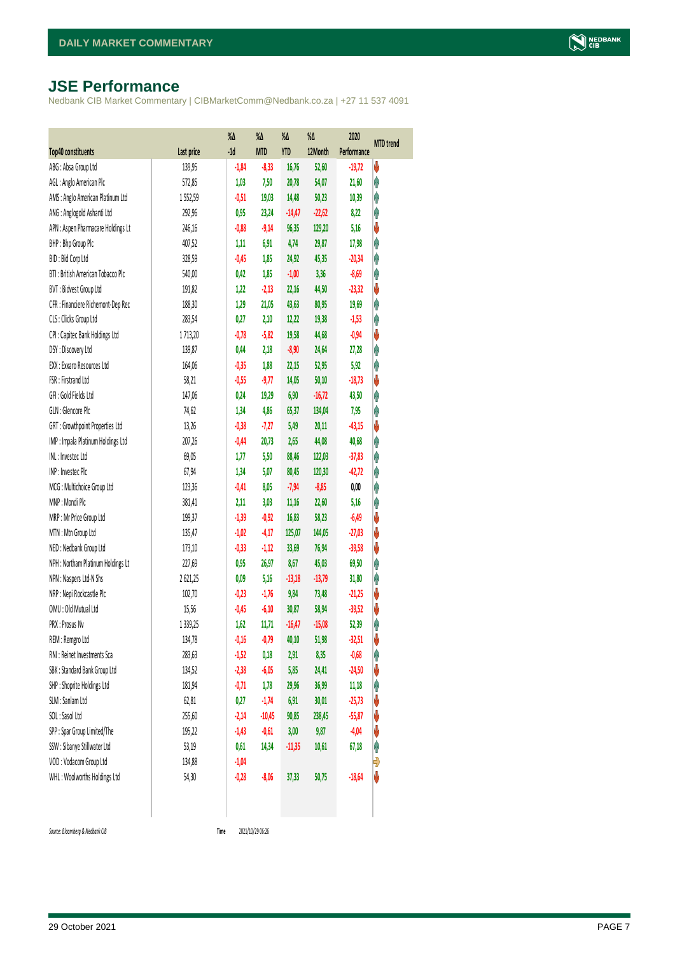# <span id="page-6-0"></span>**JSE Performance**

Nedbank CIB Market Commentary | CIBMarketComm@Nedbank.co.za | +27 11 537 4091

|                                    |             | $\%$ $\Delta$ | %Δ         | %Δ         | %Δ       | 2020        | <b>MTD</b> trend |
|------------------------------------|-------------|---------------|------------|------------|----------|-------------|------------------|
| <b>Top40 constituents</b>          | Last price  | $-1d$         | <b>MTD</b> | <b>YTD</b> | 12Month  | Performance |                  |
| ABG: Absa Group Ltd                | 139,95      | $-1,84$       | $-8,33$    | 16,76      | 52,60    | $-19,72$    | V                |
| AGL: Anglo American Plc            | 572,85      | 1,03          | 7,50       | 20,78      | 54,07    | 21,60       | φ                |
| AMS: Anglo American Platinum Ltd   | 1552,59     | $-0,51$       | 19,03      | 14,48      | 50,23    | 10,39       | φ                |
| ANG: Anglogold Ashanti Ltd         | 292,96      | 0,95          | 23,24      | $-14,47$   | $-22,62$ | 8,22        | φ                |
| APN : Aspen Pharmacare Holdings Lt | 246,16      | $-0,88$       | $-9,14$    | 96,35      | 129,20   | 5,16        | V                |
| BHP: Bhp Group Plc                 | 407,52      | 1,11          | 6,91       | 4,74       | 29,87    | 17,98       | φ                |
| BID: Bid Corp Ltd                  | 328,59      | $-0,45$       | 1,85       | 24,92      | 45,35    | $-20,34$    | φ                |
| BTI: British American Tobacco Plc  | 540,00      | 0,42          | 1,85       | $-1,00$    | 3,36     | $-8,69$     | φ                |
| BVT: Bidvest Group Ltd             | 191,82      | 1,22          | $-2,13$    | 22,16      | 44,50    | $-23,32$    | V                |
| CFR : Financiere Richemont-Dep Rec | 188,30      | 1,29          | 21,05      | 43,63      | 80,95    | 19,69       | φ                |
| CLS : Clicks Group Ltd             | 283,54      | 0,27          | 2,10       | 12,22      | 19,38    | $-1,53$     | φ                |
| CPI : Capitec Bank Holdings Ltd    | 1713,20     | $-0,78$       | $-5,82$    | 19,58      | 44,68    | $-0,94$     | ψ                |
| DSY: Discovery Ltd                 | 139,87      | 0,44          | 2,18       | $-8,90$    | 24,64    | 27,28       | φ                |
| EXX : Exxaro Resources Ltd         | 164,06      | $-0,35$       | 1,88       | 22,15      | 52,95    | 5,92        | φ                |
| FSR: Firstrand Ltd                 | 58,21       | $-0,55$       | $-9,77$    | 14,05      | 50,10    | $-18,73$    | ψ                |
| GFI: Gold Fields Ltd               | 147,06      | 0,24          | 19,29      | 6,90       | $-16,72$ | 43,50       | φ                |
| GLN : Glencore Plc                 | 74,62       | 1,34          | 4,86       | 65,37      | 134,04   | 7,95        | φ                |
| GRT : Growthpoint Properties Ltd   | 13,26       | $-0,38$       | $-7,27$    | 5,49       | 20,11    | $-43,15$    | V                |
| IMP : Impala Platinum Holdings Ltd | 207,26      | $-0,44$       | 20,73      | 2,65       | 44,08    | 40,68       | φ                |
| INL: Investec Ltd                  | 69,05       | 1, 77         | 5,50       | 88,46      | 122,03   | $-37,83$    | φ                |
| INP: Invested Plc                  | 67,94       | 1,34          | 5,07       | 80,45      | 120,30   | $-42,72$    | Λ                |
| MCG: Multichoice Group Ltd         | 123,36      | $-0,41$       | 8,05       | $-7,94$    | $-8,85$  | 0,00        | φ                |
| MNP: Mondi Plc                     | 381,41      | 2,11          | 3,03       | 11,16      | 22,60    | 5,16        | φ                |
| MRP : Mr Price Group Ltd           | 199,37      | $-1,39$       | $-0,92$    | 16,83      | 58,23    | $-6,49$     | ψ                |
| MTN: Mtn Group Ltd                 | 135,47      | $-1,02$       | $-4,17$    | 125,07     | 144,05   | $-27,03$    | ψ                |
| NED : Nedbank Group Ltd            | 173,10      | $-0,33$       | $-1,12$    | 33,69      | 76,94    | $-39,58$    | V                |
| NPH : Northam Platinum Holdings Lt | 227,69      | 0,95          | 26,97      | 8,67       | 45,03    | 69,50       | φ                |
| NPN : Naspers Ltd-N Shs            | 2621,25     | 0,09          | 5,16       | $-13,18$   | $-13,79$ | 31,80       | φ                |
| NRP : Nepi Rockcastle Plc          | 102,70      | $-0,23$       | $-1,76$    | 9,84       | 73,48    | $-21,25$    | V                |
| OMU: Old Mutual Ltd                | 15,56       | $-0,45$       | $-6,10$    | 30,87      | 58,94    | $-39,52$    | ψ                |
| PRX: Prosus Nv                     | 1 3 3 9, 25 | 1,62          | 11,71      | $-16,47$   | $-15,08$ | 52,39       | φ                |
| REM : Remgro Ltd                   | 134,78      | $-0,16$       | $-0,79$    | 40,10      | 51,98    | $-32,51$    | V                |
| RNI : Reinet Investments Sca       | 283,63      | $-1,52$       | 0,18       | 2,91       | 8,35     | $-0,68$     | Λ                |
| SBK: Standard Bank Group Ltd       | 134,52      | $-2,38$       | $-6,05$    | 5,85       | 24,41    | $-24,50$    | V                |
| SHP: Shoprite Holdings Ltd         | 181,94      | $-0,71$       | 1,78       | 29,96      | 36,99    | 11,18       | φ                |
| SLM : Sanlam Ltd                   | 62,81       | 0,27          | $-1,74$    | 6,91       | 30,01    | $-25,73$    | ψ                |
| SOL: Sasol Ltd                     | 255,60      | $-2,14$       | $-10,45$   | 90,85      | 238,45   | $-55,87$    | ψ                |
| SPP: Spar Group Limited/The        | 195,22      | $-1,43$       | $-0,61$    | 3,00       | 9,87     | $-4,04$     | ψ                |
| SSW : Sibanye Stillwater Ltd       | 53,19       | 0,61          | 14,34      | $-11,35$   | 10,61    | 67,18       | Ĥ                |
| VOD: Vodacom Group Ltd             | 134,88      | $-1,04$       |            |            |          |             | Đ                |
| WHL: Woolworths Holdings Ltd       | 54,30       | $-0,28$       | $-8,06$    | 37,33      | 50,75    | $-18,64$    | V                |
|                                    |             |               |            |            |          |             |                  |

 $Source: Bloomberg & Nedbank *CB*$ 

Time 2021/10/29 06:26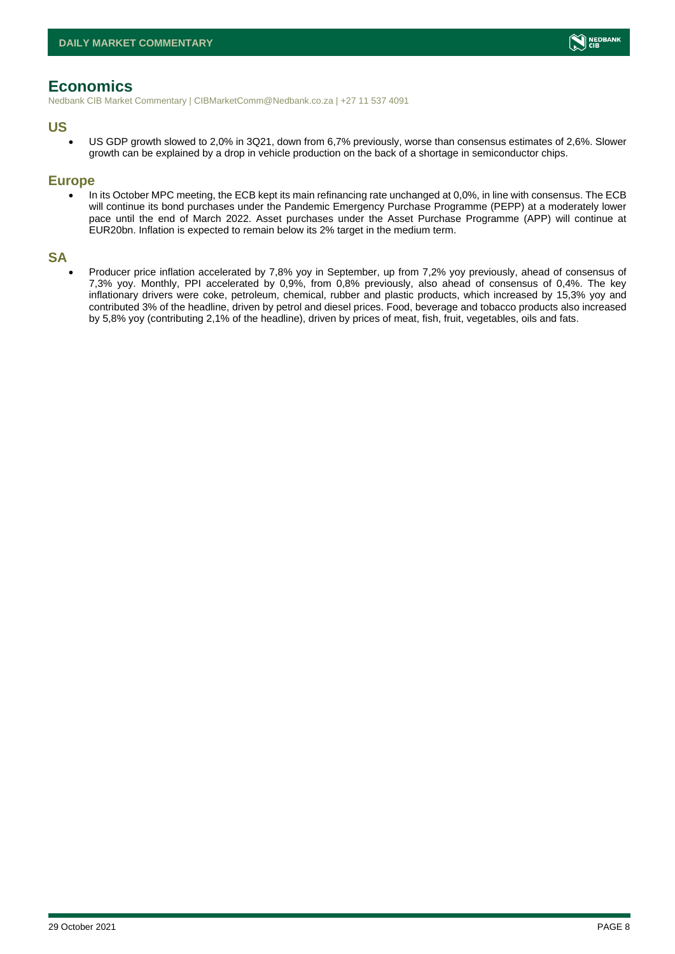# <span id="page-7-0"></span>**Economics**

Nedbank CIB Market Commentary | CIBMarketComm@Nedbank.co.za | +27 11 537 4091

#### **US**

• US GDP growth slowed to 2,0% in 3Q21, down from 6,7% previously, worse than consensus estimates of 2,6%. Slower growth can be explained by a drop in vehicle production on the back of a shortage in semiconductor chips.

#### **Europe**

• In its October MPC meeting, the ECB kept its main refinancing rate unchanged at 0,0%, in line with consensus. The ECB will continue its bond purchases under the Pandemic Emergency Purchase Programme (PEPP) at a moderately lower pace until the end of March 2022. Asset purchases under the Asset Purchase Programme (APP) will continue at EUR20bn. Inflation is expected to remain below its 2% target in the medium term.

### **SA**

• Producer price inflation accelerated by 7,8% yoy in September, up from 7,2% yoy previously, ahead of consensus of 7,3% yoy. Monthly, PPI accelerated by 0,9%, from 0,8% previously, also ahead of consensus of 0,4%. The key inflationary drivers were coke, petroleum, chemical, rubber and plastic products, which increased by 15,3% yoy and contributed 3% of the headline, driven by petrol and diesel prices. Food, beverage and tobacco products also increased by 5,8% yoy (contributing 2,1% of the headline), driven by prices of meat, fish, fruit, vegetables, oils and fats.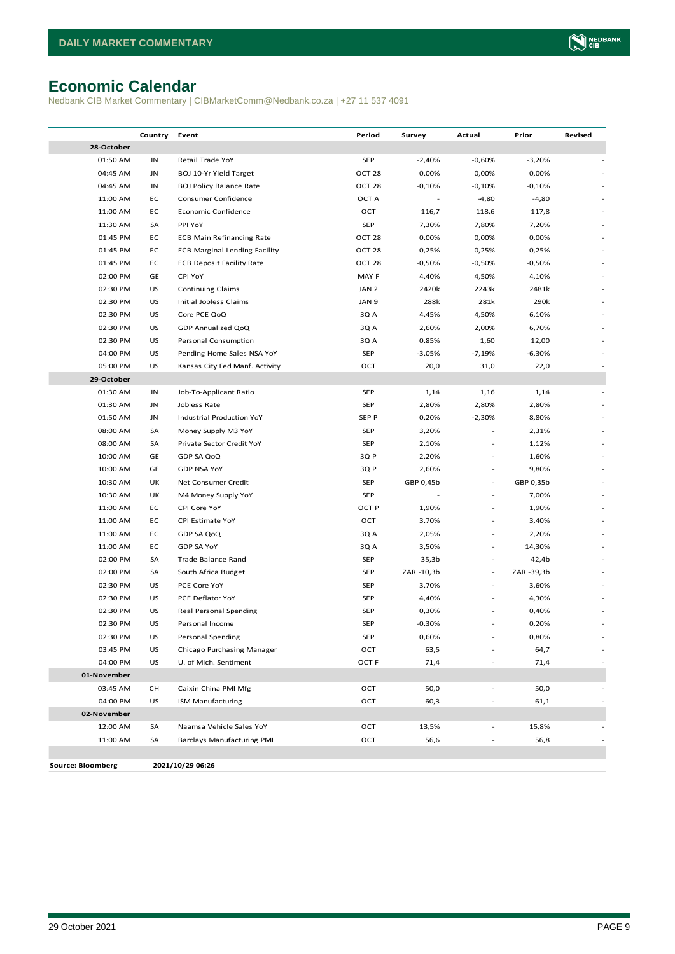# <span id="page-8-0"></span>**Economic Calendar**

Nedbank CIB Market Commentary | CIBMarketComm@Nedbank.co.za | +27 11 537 4091

|                          | Country | Event                                | Period            | Survey     | Actual                   | Prior      | Revised        |
|--------------------------|---------|--------------------------------------|-------------------|------------|--------------------------|------------|----------------|
| 28-October               |         |                                      |                   |            |                          |            |                |
| 01:50 AM                 | JN      | Retail Trade YoY                     | <b>SEP</b>        | $-2,40%$   | $-0,60%$                 | $-3,20%$   |                |
| 04:45 AM                 | JN      | BOJ 10-Yr Yield Target               | OCT <sub>28</sub> | 0,00%      | 0,00%                    | 0,00%      |                |
| 04:45 AM                 | JN      | <b>BOJ Policy Balance Rate</b>       | OCT <sub>28</sub> | $-0,10%$   | $-0,10%$                 | $-0,10%$   |                |
| 11:00 AM                 | EC      | Consumer Confidence                  | OCT A             |            | $-4,80$                  | $-4,80$    |                |
| 11:00 AM                 | EC      | Economic Confidence                  | OCT               | 116,7      | 118,6                    | 117,8      |                |
| 11:30 AM                 | SA      | PPI YoY                              | <b>SEP</b>        | 7,30%      | 7,80%                    | 7,20%      |                |
| 01:45 PM                 | EC      | <b>ECB Main Refinancing Rate</b>     | OCT <sub>28</sub> | 0,00%      | 0,00%                    | 0,00%      |                |
| 01:45 PM                 | EC      | <b>ECB Marginal Lending Facility</b> | OCT 28            | 0,25%      | 0,25%                    | 0,25%      |                |
| 01:45 PM                 | EC      | <b>ECB Deposit Facility Rate</b>     | OCT <sub>28</sub> | $-0,50%$   | $-0,50%$                 | -0,50%     |                |
| 02:00 PM                 | GE      | CPI YoY                              | MAY F             | 4,40%      | 4,50%                    | 4,10%      |                |
| 02:30 PM                 | US      | <b>Continuing Claims</b>             | JAN <sub>2</sub>  | 2420k      | 2243k                    | 2481k      |                |
| 02:30 PM                 | US      | Initial Jobless Claims               | JAN 9             | 288k       | 281k                     | 290k       |                |
| 02:30 PM                 | US      | Core PCE QoQ                         | 3Q A              | 4,45%      | 4,50%                    | 6,10%      |                |
| 02:30 PM                 | US      | GDP Annualized QoQ                   | 3Q A              | 2,60%      | 2,00%                    | 6,70%      |                |
| 02:30 PM                 | US      | Personal Consumption                 | 3Q A              | 0,85%      | 1,60                     | 12,00      |                |
| 04:00 PM                 | US      | Pending Home Sales NSA YoY           | <b>SEP</b>        | $-3,05%$   | $-7,19%$                 | $-6,30%$   |                |
| 05:00 PM                 | US      | Kansas City Fed Manf. Activity       | OCT               | 20,0       | 31,0                     | 22,0       |                |
| 29-October               |         |                                      |                   |            |                          |            |                |
| 01:30 AM                 | JN      | Job-To-Applicant Ratio               | SEP               | 1,14       | 1,16                     | 1,14       |                |
| 01:30 AM                 | JN      | Jobless Rate                         | <b>SEP</b>        | 2,80%      | 2,80%                    | 2,80%      |                |
| 01:50 AM                 | JN      | <b>Industrial Production YoY</b>     | SEP P             | 0,20%      | $-2,30%$                 | 8,80%      |                |
| 08:00 AM                 | SA      | Money Supply M3 YoY                  | <b>SEP</b>        | 3,20%      |                          | 2,31%      |                |
| 08:00 AM                 | SA      | Private Sector Credit YoY            | <b>SEP</b>        | 2,10%      |                          | 1,12%      |                |
| 10:00 AM                 | GE      | GDP SA QoQ                           | 3Q P              | 2,20%      |                          | 1,60%      |                |
| 10:00 AM                 | GE      | <b>GDP NSA YoY</b>                   | 3Q P              | 2,60%      |                          | 9,80%      |                |
| 10:30 AM                 | UK      | Net Consumer Credit                  | <b>SEP</b>        | GBP 0,45b  | $\overline{\phantom{a}}$ | GBP 0,35b  |                |
| 10:30 AM                 | UK      | M4 Money Supply YoY                  | <b>SEP</b>        |            | $\frac{1}{2}$            | 7,00%      |                |
| 11:00 AM                 | EC      | CPI Core YoY                         | OCT <sub>P</sub>  | 1,90%      | $\bar{a}$                | 1,90%      |                |
| 11:00 AM                 | EC      | CPI Estimate YoY                     | OCT               | 3,70%      |                          | 3,40%      |                |
| 11:00 AM                 | EC      | GDP SA QoQ                           | 3Q A              | 2,05%      | $\bar{a}$                | 2,20%      |                |
| 11:00 AM                 | EC      | <b>GDP SA YoY</b>                    | 3Q A              | 3,50%      | $\bar{a}$                | 14,30%     |                |
| 02:00 PM                 | SA      | Trade Balance Rand                   | <b>SEP</b>        | 35,3b      | $\overline{\phantom{a}}$ | 42,4b      |                |
| 02:00 PM                 | SA      | South Africa Budget                  | <b>SEP</b>        | ZAR -10,3b | $\overline{\phantom{a}}$ | ZAR -39,3b |                |
| 02:30 PM                 | US      | PCE Core YoY                         | <b>SEP</b>        | 3,70%      | $\overline{\phantom{a}}$ | 3,60%      |                |
| 02:30 PM                 | US      | PCE Deflator YoY                     | <b>SEP</b>        | 4,40%      |                          | 4,30%      |                |
| 02:30 PM                 | US      | Real Personal Spending               | <b>SEP</b>        | 0,30%      |                          | 0,40%      |                |
| 02:30 PM                 | US      | Personal Income                      | SEP               | $-0,30%$   |                          | 0,20%      |                |
| 02:30 PM                 | US      | Personal Spending                    | SEP               | 0,60%      |                          | 0,80%      |                |
| 03:45 PM                 | US      | Chicago Purchasing Manager           | OCT               | 63,5       |                          | 64,7       |                |
| 04:00 PM                 | US      | U. of Mich. Sentiment                | OCT <sub>F</sub>  | 71,4       |                          | 71,4       | $\blacksquare$ |
| 01-November              |         |                                      |                   |            |                          |            |                |
| 03:45 AM                 | CН      | Caixin China PMI Mfg                 | OCT               | 50,0       |                          | 50,0       |                |
| 04:00 PM                 | US      | <b>ISM Manufacturing</b>             | OCT               | 60,3       |                          | 61,1       |                |
| 02-November              |         |                                      |                   |            |                          |            |                |
| 12:00 AM                 | SA      | Naamsa Vehicle Sales YoY             | OCT               | 13,5%      |                          | 15,8%      |                |
| 11:00 AM                 | SA      | Barclays Manufacturing PMI           | OCT               | 56,6       |                          | 56,8       |                |
|                          |         |                                      |                   |            |                          |            |                |
| <b>Source: Bloomberg</b> |         | 2021/10/29 06:26                     |                   |            |                          |            |                |